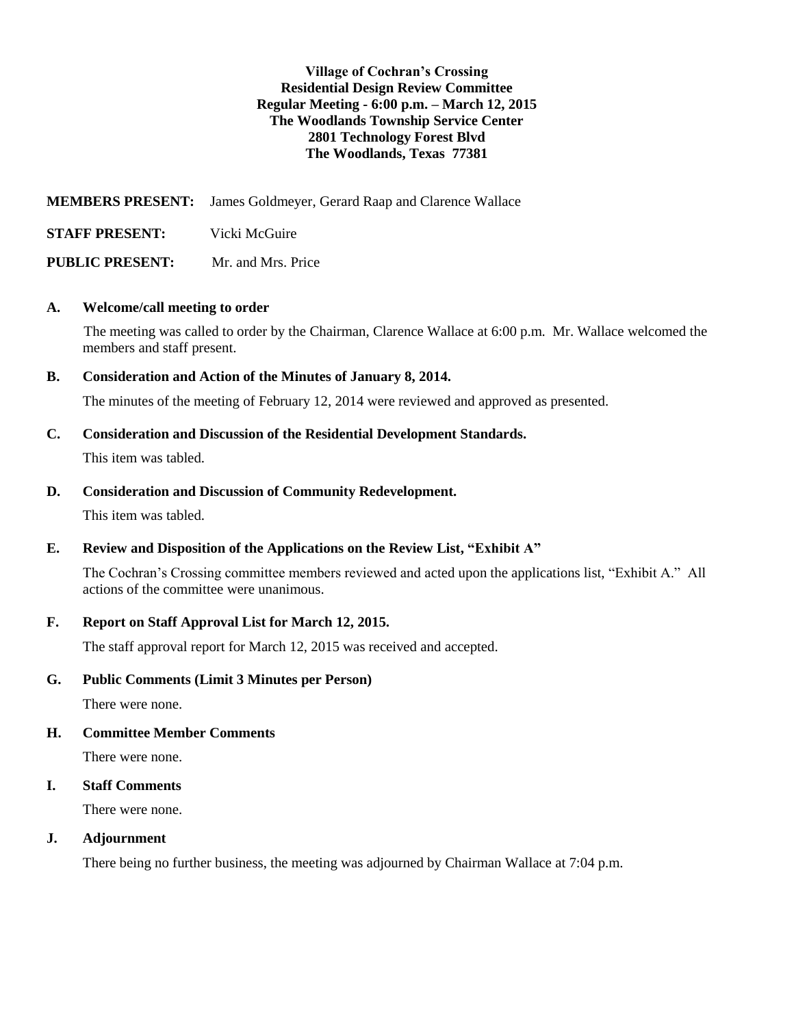#### **Village of Cochran's Crossing Residential Design Review Committee Regular Meeting - 6:00 p.m. – March 12, 2015 The Woodlands Township Service Center 2801 Technology Forest Blvd The Woodlands, Texas 77381**

**MEMBERS PRESENT:** James Goldmeyer, Gerard Raap and Clarence Wallace

**STAFF PRESENT:** Vicki McGuire

**PUBLIC PRESENT:** Mr. and Mrs. Price

## **A. Welcome/call meeting to order**

The meeting was called to order by the Chairman, Clarence Wallace at 6:00 p.m. Mr. Wallace welcomed the members and staff present.

## **B. Consideration and Action of the Minutes of January 8, 2014.**

The minutes of the meeting of February 12, 2014 were reviewed and approved as presented.

## **C. Consideration and Discussion of the Residential Development Standards.**

This item was tabled.

## **D. Consideration and Discussion of Community Redevelopment.**

This item was tabled.

# **E. Review and Disposition of the Applications on the Review List, "Exhibit A"**

The Cochran's Crossing committee members reviewed and acted upon the applications list, "Exhibit A." All actions of the committee were unanimous.

# **F. Report on Staff Approval List for March 12, 2015.**

The staff approval report for March 12, 2015 was received and accepted.

# **G. Public Comments (Limit 3 Minutes per Person)**

There were none.

#### **H. Committee Member Comments**

There were none.

#### **I. Staff Comments**

There were none.

#### **J. Adjournment**

There being no further business, the meeting was adjourned by Chairman Wallace at 7:04 p.m.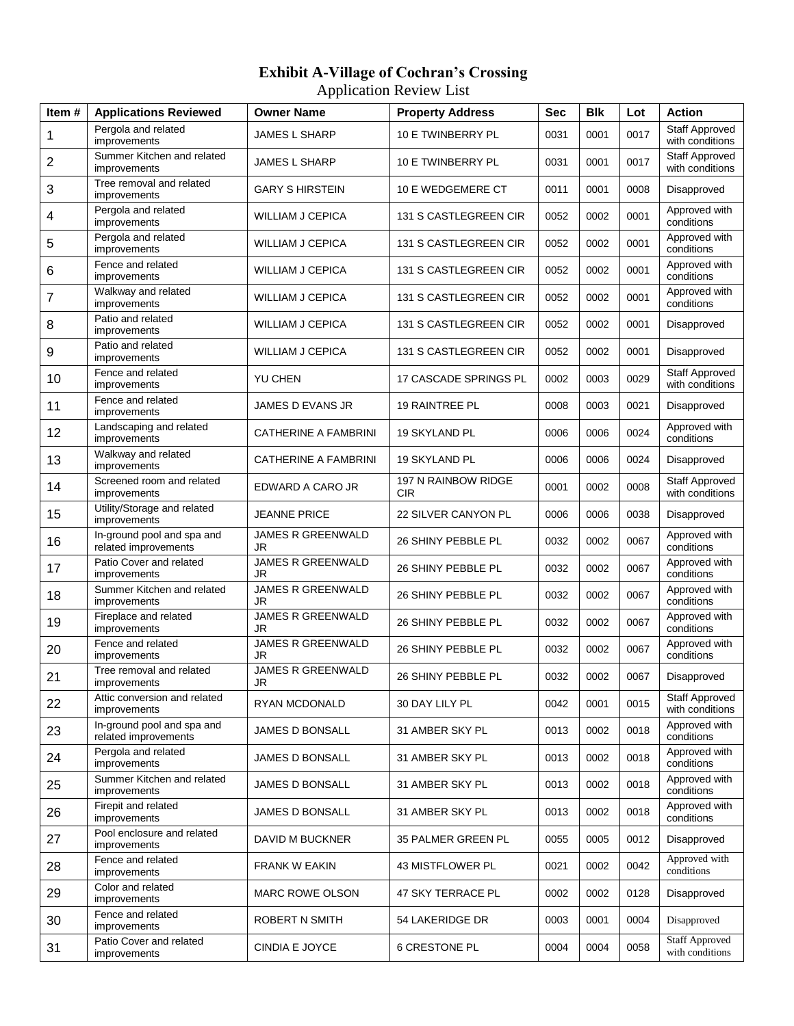# **Exhibit A-Village of Cochran's Crossing** Application Review List

| Item# | <b>Applications Reviewed</b>                       | <b>Owner Name</b>           | <b>Property Address</b>           | Sec  | <b>Blk</b> | Lot  | <b>Action</b>                            |
|-------|----------------------------------------------------|-----------------------------|-----------------------------------|------|------------|------|------------------------------------------|
| 1     | Pergola and related<br>improvements                | <b>JAMES L SHARP</b>        | 10 E TWINBERRY PL                 | 0031 | 0001       | 0017 | Staff Approved<br>with conditions        |
| 2     | Summer Kitchen and related<br>improvements         | <b>JAMES L SHARP</b>        | 10 E TWINBERRY PL                 | 0031 | 0001       | 0017 | <b>Staff Approved</b><br>with conditions |
| 3     | Tree removal and related<br>improvements           | <b>GARY S HIRSTEIN</b>      | 10 E WEDGEMERE CT                 | 0011 | 0001       | 0008 | Disapproved                              |
| 4     | Pergola and related<br>improvements                | WILLIAM J CEPICA            | 131 S CASTLEGREEN CIR             | 0052 | 0002       | 0001 | Approved with<br>conditions              |
| 5     | Pergola and related<br>improvements                | <b>WILLIAM J CEPICA</b>     | 131 S CASTLEGREEN CIR             | 0052 | 0002       | 0001 | Approved with<br>conditions              |
| 6     | Fence and related<br>improvements                  | <b>WILLIAM J CEPICA</b>     | 131 S CASTLEGREEN CIR             | 0052 | 0002       | 0001 | Approved with<br>conditions              |
| 7     | Walkway and related<br>improvements                | <b>WILLIAM J CEPICA</b>     | 131 S CASTLEGREEN CIR             | 0052 | 0002       | 0001 | Approved with<br>conditions              |
| 8     | Patio and related<br>improvements                  | WILLIAM J CEPICA            | 131 S CASTLEGREEN CIR             | 0052 | 0002       | 0001 | Disapproved                              |
| 9     | Patio and related<br>improvements                  | <b>WILLIAM J CEPICA</b>     | 131 S CASTLEGREEN CIR             | 0052 | 0002       | 0001 | Disapproved                              |
| 10    | Fence and related<br>improvements                  | <b>YU CHEN</b>              | <b>17 CASCADE SPRINGS PL</b>      | 0002 | 0003       | 0029 | <b>Staff Approved</b><br>with conditions |
| 11    | Fence and related<br>improvements                  | JAMES D EVANS JR            | 19 RAINTREE PL                    | 0008 | 0003       | 0021 | Disapproved                              |
| 12    | Landscaping and related<br>improvements            | <b>CATHERINE A FAMBRINI</b> | 19 SKYLAND PL                     | 0006 | 0006       | 0024 | Approved with<br>conditions              |
| 13    | Walkway and related<br>improvements                | <b>CATHERINE A FAMBRINI</b> | 19 SKYLAND PL                     | 0006 | 0006       | 0024 | Disapproved                              |
| 14    | Screened room and related<br>improvements          | EDWARD A CARO JR            | 197 N RAINBOW RIDGE<br><b>CIR</b> | 0001 | 0002       | 0008 | Staff Approved<br>with conditions        |
| 15    | Utility/Storage and related<br>improvements        | <b>JEANNE PRICE</b>         | 22 SILVER CANYON PL               | 0006 | 0006       | 0038 | Disapproved                              |
| 16    | In-ground pool and spa and<br>related improvements | JAMES R GREENWALD<br>JR     | 26 SHINY PEBBLE PL                | 0032 | 0002       | 0067 | Approved with<br>conditions              |
| 17    | Patio Cover and related<br>improvements            | JAMES R GREENWALD<br>JR     | 26 SHINY PEBBLE PL                | 0032 | 0002       | 0067 | Approved with<br>conditions              |
| 18    | Summer Kitchen and related<br>improvements         | JAMES R GREENWALD<br>JR     | 26 SHINY PEBBLE PL                | 0032 | 0002       | 0067 | Approved with<br>conditions              |
| 19    | Fireplace and related<br>improvements              | JAMES R GREENWALD<br>JR     | 26 SHINY PEBBLE PL                | 0032 | 0002       | 0067 | Approved with<br>conditions              |
| 20    | Fence and related<br>improvements                  | JAMES R GREENWALD<br>JR     | 26 SHINY PEBBLE PL                | 0032 | 0002       | 0067 | Approved with<br>conditions              |
| 21    | Tree removal and related<br><i>improvements</i>    | JAMES R GREENWALD<br>JK     | 26 SHINY PEBBLE PL                | 0032 | 0002       | 0067 | Disapproved                              |
| 22    | Attic conversion and related<br>improvements       | RYAN MCDONALD               | 30 DAY LILY PL                    | 0042 | 0001       | 0015 | Staff Approved<br>with conditions        |
| 23    | In-ground pool and spa and<br>related improvements | JAMES D BONSALL             | 31 AMBER SKY PL                   | 0013 | 0002       | 0018 | Approved with<br>conditions              |
| 24    | Pergola and related<br>improvements                | JAMES D BONSALL             | 31 AMBER SKY PL                   | 0013 | 0002       | 0018 | Approved with<br>conditions              |
| 25    | Summer Kitchen and related<br>improvements         | JAMES D BONSALL             | 31 AMBER SKY PL                   | 0013 | 0002       | 0018 | Approved with<br>conditions              |
| 26    | Firepit and related<br>improvements                | JAMES D BONSALL             | 31 AMBER SKY PL                   | 0013 | 0002       | 0018 | Approved with<br>conditions              |
| 27    | Pool enclosure and related<br>improvements         | DAVID M BUCKNER             | 35 PALMER GREEN PL                | 0055 | 0005       | 0012 | Disapproved                              |
| 28    | Fence and related<br>improvements                  | <b>FRANK W EAKIN</b>        | 43 MISTFLOWER PL                  | 0021 | 0002       | 0042 | Approved with<br>conditions              |
| 29    | Color and related<br>improvements                  | MARC ROWE OLSON             | 47 SKY TERRACE PL                 | 0002 | 0002       | 0128 | Disapproved                              |
| 30    | Fence and related<br>improvements                  | ROBERT N SMITH              | 54 LAKERIDGE DR                   | 0003 | 0001       | 0004 | Disapproved                              |
| 31    | Patio Cover and related<br>improvements            | CINDIA E JOYCE              | <b>6 CRESTONE PL</b>              | 0004 | 0004       | 0058 | <b>Staff Approved</b><br>with conditions |
|       |                                                    |                             |                                   |      |            |      |                                          |